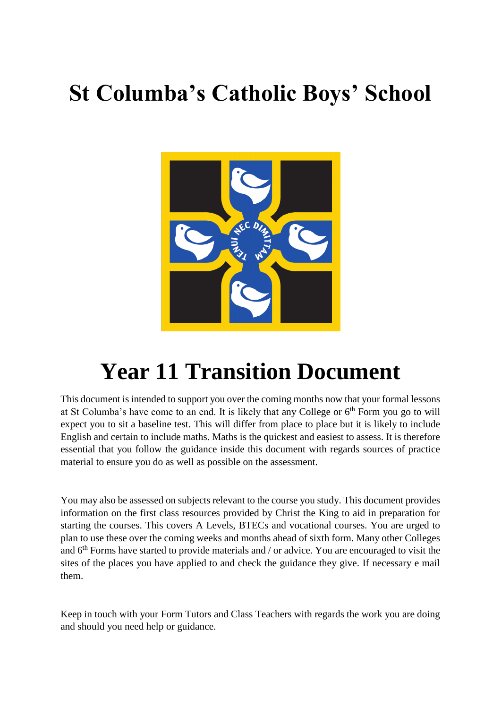## **St Columba's Catholic Boys' School**



## **Year 11 Transition Document**

This document is intended to support you over the coming months now that your formal lessons at St Columba's have come to an end. It is likely that any College or 6<sup>th</sup> Form you go to will expect you to sit a baseline test. This will differ from place to place but it is likely to include English and certain to include maths. Maths is the quickest and easiest to assess. It is therefore essential that you follow the guidance inside this document with regards sources of practice material to ensure you do as well as possible on the assessment.

You may also be assessed on subjects relevant to the course you study. This document provides information on the first class resources provided by Christ the King to aid in preparation for starting the courses. This covers A Levels, BTECs and vocational courses. You are urged to plan to use these over the coming weeks and months ahead of sixth form. Many other Colleges and 6th Forms have started to provide materials and / or advice. You are encouraged to visit the sites of the places you have applied to and check the guidance they give. If necessary e mail them.

Keep in touch with your Form Tutors and Class Teachers with regards the work you are doing and should you need help or guidance.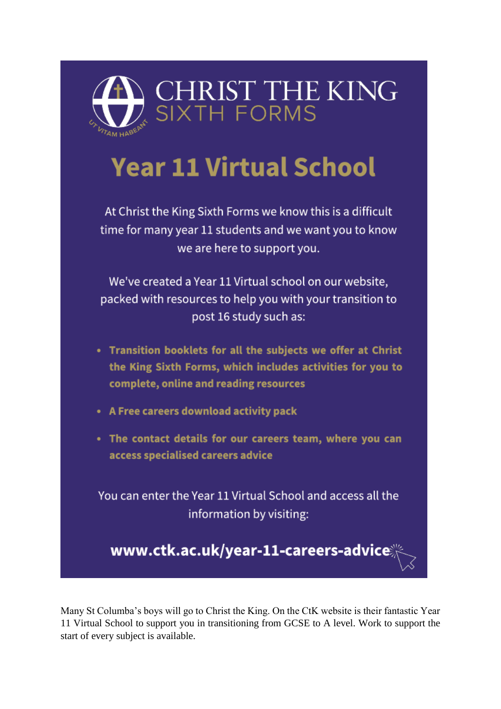

# **Year 11 Virtual School**

At Christ the King Sixth Forms we know this is a difficult time for many year 11 students and we want you to know we are here to support you.

We've created a Year 11 Virtual school on our website. packed with resources to help you with your transition to post 16 study such as:

- Transition booklets for all the subjects we offer at Christ the King Sixth Forms, which includes activities for you to complete, online and reading resources
- A Free careers download activity pack
- The contact details for our careers team, where you can access specialised careers advice

You can enter the Year 11 Virtual School and access all the information by visiting:

www.ctk.ac.uk/year-11-careers-advice

Many St Columba's boys will go to Christ the King. On the CtK website is their fantastic Year 11 Virtual School to support you in transitioning from GCSE to A level. Work to support the start of every subject is available.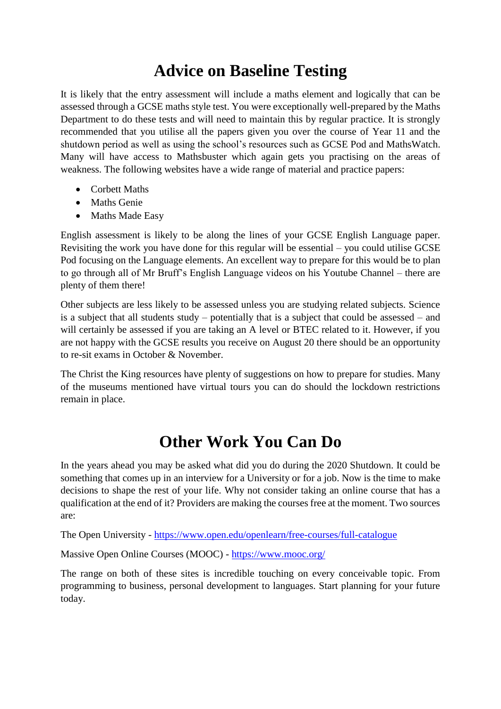### **Advice on Baseline Testing**

It is likely that the entry assessment will include a maths element and logically that can be assessed through a GCSE maths style test. You were exceptionally well-prepared by the Maths Department to do these tests and will need to maintain this by regular practice. It is strongly recommended that you utilise all the papers given you over the course of Year 11 and the shutdown period as well as using the school's resources such as GCSE Pod and MathsWatch. Many will have access to Mathsbuster which again gets you practising on the areas of weakness. The following websites have a wide range of material and practice papers:

- Corbett Maths
- Maths Genie
- Maths Made Easy

English assessment is likely to be along the lines of your GCSE English Language paper. Revisiting the work you have done for this regular will be essential – you could utilise GCSE Pod focusing on the Language elements. An excellent way to prepare for this would be to plan to go through all of Mr Bruff's English Language videos on his Youtube Channel – there are plenty of them there!

Other subjects are less likely to be assessed unless you are studying related subjects. Science is a subject that all students study – potentially that is a subject that could be assessed – and will certainly be assessed if you are taking an A level or BTEC related to it. However, if you are not happy with the GCSE results you receive on August 20 there should be an opportunity to re-sit exams in October & November.

The Christ the King resources have plenty of suggestions on how to prepare for studies. Many of the museums mentioned have virtual tours you can do should the lockdown restrictions remain in place.

### **Other Work You Can Do**

In the years ahead you may be asked what did you do during the 2020 Shutdown. It could be something that comes up in an interview for a University or for a job. Now is the time to make decisions to shape the rest of your life. Why not consider taking an online course that has a qualification at the end of it? Providers are making the courses free at the moment. Two sources are:

The Open University - <https://www.open.edu/openlearn/free-courses/full-catalogue>

Massive Open Online Courses (MOOC) - <https://www.mooc.org/>

The range on both of these sites is incredible touching on every conceivable topic. From programming to business, personal development to languages. Start planning for your future today.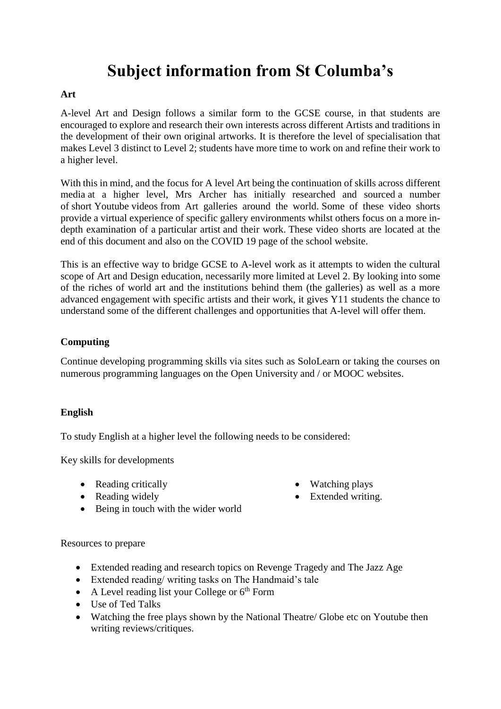### **Subject information from St Columba's**

#### **Art**

A-level Art and Design follows a similar form to the GCSE course, in that students are encouraged to explore and research their own interests across different Artists and traditions in the development of their own original artworks. It is therefore the level of specialisation that makes Level 3 distinct to Level 2; students have more time to work on and refine their work to a higher level.

With this in mind, and the focus for A level Art being the continuation of skills across different media at a higher level, Mrs Archer has initially researched and sourced a number of short Youtube videos from Art galleries around the world. Some of these video shorts provide a virtual experience of specific gallery environments whilst others focus on a more indepth examination of a particular artist and their work. These video shorts are located at the end of this document and also on the COVID 19 page of the school website.

This is an effective way to bridge GCSE to A-level work as it attempts to widen the cultural scope of Art and Design education, necessarily more limited at Level 2. By looking into some of the riches of world art and the institutions behind them (the galleries) as well as a more advanced engagement with specific artists and their work, it gives Y11 students the chance to understand some of the different challenges and opportunities that A-level will offer them.

#### **Computing**

Continue developing programming skills via sites such as SoloLearn or taking the courses on numerous programming languages on the Open University and / or MOOC websites.

#### **English**

To study English at a higher level the following needs to be considered:

Key skills for developments

- Reading critically
- Reading widely
- Watching plays
- Extended writing.
- Being in touch with the wider world

Resources to prepare

- Extended reading and research topics on Revenge Tragedy and The Jazz Age
- Extended reading/ writing tasks on The Handmaid's tale
- $\bullet$  A Level reading list your College or  $6<sup>th</sup>$  Form
- Use of Ted Talks
- Watching the free plays shown by the National Theatre/ Globe etc on Youtube then writing reviews/critiques.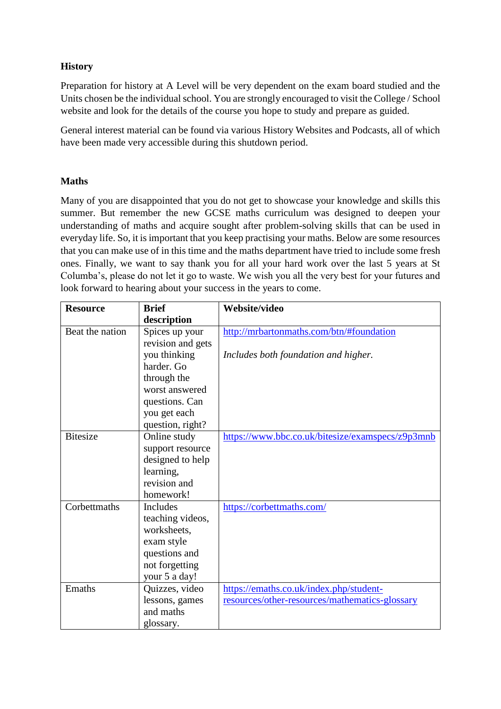#### **History**

Preparation for history at A Level will be very dependent on the exam board studied and the Units chosen be the individual school. You are strongly encouraged to visit the College / School website and look for the details of the course you hope to study and prepare as guided.

General interest material can be found via various History Websites and Podcasts, all of which have been made very accessible during this shutdown period.

#### **Maths**

Many of you are disappointed that you do not get to showcase your knowledge and skills this summer. But remember the new GCSE maths curriculum was designed to deepen your understanding of maths and acquire sought after problem-solving skills that can be used in everyday life. So, it is important that you keep practising your maths. Below are some resources that you can make use of in this time and the maths department have tried to include some fresh ones. Finally, we want to say thank you for all your hard work over the last 5 years at St Columba's, please do not let it go to waste. We wish you all the very best for your futures and look forward to hearing about your success in the years to come.

| <b>Resource</b> | <b>Brief</b>      | Website/video                                    |
|-----------------|-------------------|--------------------------------------------------|
|                 | description       |                                                  |
| Beat the nation | Spices up your    | http://mrbartonmaths.com/btn/#foundation         |
|                 | revision and gets |                                                  |
|                 | you thinking      | Includes both foundation and higher.             |
|                 | harder. Go        |                                                  |
|                 | through the       |                                                  |
|                 | worst answered    |                                                  |
|                 | questions. Can    |                                                  |
|                 | you get each      |                                                  |
|                 | question, right?  |                                                  |
| <b>Bitesize</b> | Online study      | https://www.bbc.co.uk/bitesize/examspecs/z9p3mnb |
|                 | support resource  |                                                  |
|                 | designed to help  |                                                  |
|                 | learning,         |                                                  |
|                 | revision and      |                                                  |
|                 | homework!         |                                                  |
| Corbettmaths    | <b>Includes</b>   | https://corbettmaths.com/                        |
|                 | teaching videos,  |                                                  |
|                 | worksheets,       |                                                  |
|                 | exam style        |                                                  |
|                 | questions and     |                                                  |
|                 | not forgetting    |                                                  |
|                 | your 5 a day!     |                                                  |
| Emaths          | Quizzes, video    | https://emaths.co.uk/index.php/student-          |
|                 | lessons, games    | resources/other-resources/mathematics-glossary   |
|                 | and maths         |                                                  |
|                 | glossary.         |                                                  |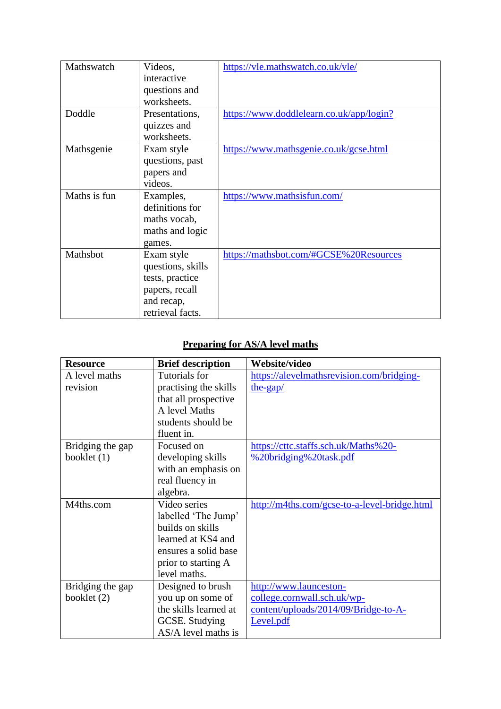| Mathswatch   | Videos,           | https://vle.mathswatch.co.uk/vle/        |
|--------------|-------------------|------------------------------------------|
|              | interactive       |                                          |
|              | questions and     |                                          |
|              | worksheets.       |                                          |
| Doddle       | Presentations,    | https://www.doddlelearn.co.uk/app/login? |
|              | quizzes and       |                                          |
|              | worksheets.       |                                          |
| Mathsgenie   | Exam style        | https://www.mathsgenie.co.uk/gcse.html   |
|              | questions, past   |                                          |
|              | papers and        |                                          |
|              | videos.           |                                          |
| Maths is fun | Examples,         | https://www.mathsisfun.com/              |
|              | definitions for   |                                          |
|              | maths vocab,      |                                          |
|              | maths and logic   |                                          |
|              | games.            |                                          |
| Mathsbot     | Exam style        | https://mathsbot.com/#GCSE%20Resources   |
|              | questions, skills |                                          |
|              | tests, practice   |                                          |
|              | papers, recall    |                                          |
|              | and recap,        |                                          |
|              | retrieval facts.  |                                          |

#### **Preparing for AS/A level maths**

| <b>Resource</b>  | <b>Brief description</b> | Website/video                                |
|------------------|--------------------------|----------------------------------------------|
| A level maths    | Tutorials for            | https://alevelmathsrevision.com/bridging-    |
| revision         | practising the skills    | the-gap $/$                                  |
|                  | that all prospective     |                                              |
|                  | A level Maths            |                                              |
|                  | students should be       |                                              |
|                  | fluent in.               |                                              |
| Bridging the gap | Focused on               | https://cttc.staffs.sch.uk/Maths%20-         |
| booklet (1)      | developing skills        | %20bridging%20task.pdf                       |
|                  | with an emphasis on      |                                              |
|                  | real fluency in          |                                              |
|                  | algebra.                 |                                              |
| M4ths.com        | Video series             | http://m4ths.com/gcse-to-a-level-bridge.html |
|                  | labelled 'The Jump'      |                                              |
|                  | builds on skills         |                                              |
|                  | learned at KS4 and       |                                              |
|                  | ensures a solid base     |                                              |
|                  | prior to starting A      |                                              |
|                  | level maths.             |                                              |
| Bridging the gap | Designed to brush        | http://www.launceston-                       |
| booklet (2)      | you up on some of        | college.cornwall.sch.uk/wp-                  |
|                  | the skills learned at    | content/uploads/2014/09/Bridge-to-A-         |
|                  | GCSE. Studying           | Level.pdf                                    |
|                  | AS/A level maths is      |                                              |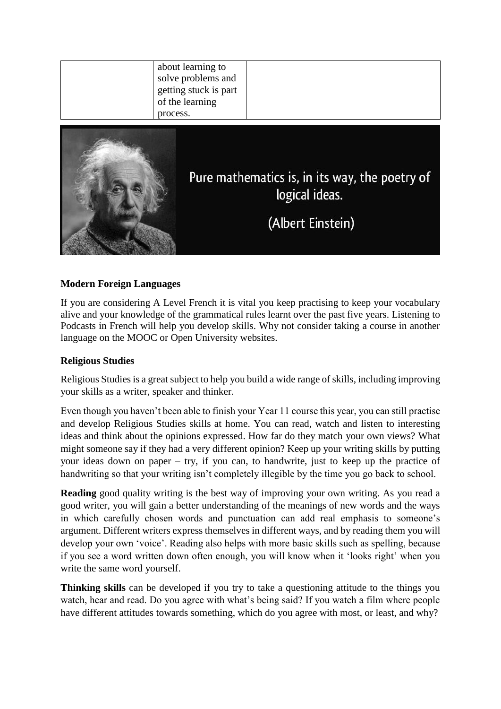| about learning to<br>solve problems and<br>getting stuck is part<br>of the learning<br>process. |  |
|-------------------------------------------------------------------------------------------------|--|
|                                                                                                 |  |

### Pure mathematics is, in its way, the poetry of logical ideas.

(Albert Einstein)

#### **Modern Foreign Languages**

If you are considering A Level French it is vital you keep practising to keep your vocabulary alive and your knowledge of the grammatical rules learnt over the past five years. Listening to Podcasts in French will help you develop skills. Why not consider taking a course in another language on the MOOC or Open University websites.

#### **Religious Studies**

Religious Studies is a great subject to help you build a wide range of skills, including improving your skills as a writer, speaker and thinker.

Even though you haven't been able to finish your Year 11 course this year, you can still practise and develop Religious Studies skills at home. You can read, watch and listen to interesting ideas and think about the opinions expressed. How far do they match your own views? What might someone say if they had a very different opinion? Keep up your writing skills by putting your ideas down on paper – try, if you can, to handwrite, just to keep up the practice of handwriting so that your writing isn't completely illegible by the time you go back to school.

**Reading** good quality writing is the best way of improving your own writing. As you read a good writer, you will gain a better understanding of the meanings of new words and the ways in which carefully chosen words and punctuation can add real emphasis to someone's argument. Different writers express themselves in different ways, and by reading them you will develop your own 'voice'. Reading also helps with more basic skills such as spelling, because if you see a word written down often enough, you will know when it 'looks right' when you write the same word yourself.

**Thinking skills** can be developed if you try to take a questioning attitude to the things you watch, hear and read. Do you agree with what's being said? If you watch a film where people have different attitudes towards something, which do you agree with most, or least, and why?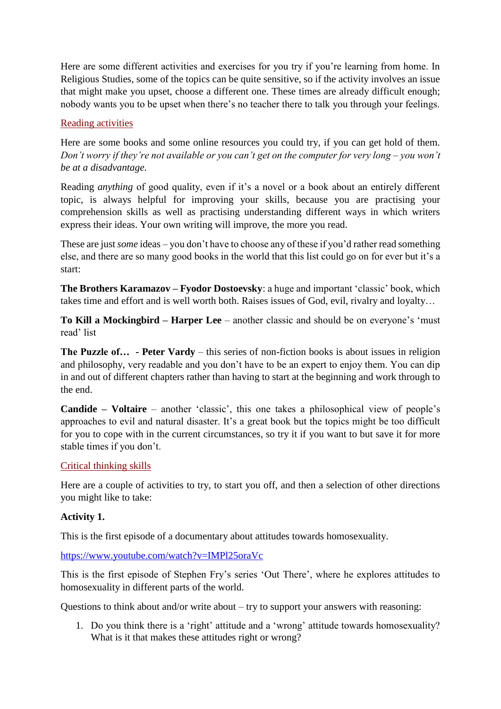Here are some different activities and exercises for you try if you're learning from home. In Religious Studies, some of the topics can be quite sensitive, so if the activity involves an issue that might make you upset, choose a different one. These times are already difficult enough; nobody wants you to be upset when there's no teacher there to talk you through your feelings.

#### Reading activities

Here are some books and some online resources you could try, if you can get hold of them. *Don't worry if they're not available or you can't get on the computer for very long – you won't be at a disadvantage.*

Reading *anything* of good quality, even if it's a novel or a book about an entirely different topic, is always helpful for improving your skills, because you are practising your comprehension skills as well as practising understanding different ways in which writers express their ideas. Your own writing will improve, the more you read.

These are just *some* ideas – you don't have to choose any of these if you'd rather read something else, and there are so many good books in the world that this list could go on for ever but it's a start:

**The Brothers Karamazov – Fyodor Dostoevsky**: a huge and important 'classic' book, which takes time and effort and is well worth both. Raises issues of God, evil, rivalry and loyalty…

**To Kill a Mockingbird – Harper Lee** – another classic and should be on everyone's 'must read' list

**The Puzzle of… - Peter Vardy** – this series of non-fiction books is about issues in religion and philosophy, very readable and you don't have to be an expert to enjoy them. You can dip in and out of different chapters rather than having to start at the beginning and work through to the end.

**Candide – Voltaire** – another 'classic', this one takes a philosophical view of people's approaches to evil and natural disaster. It's a great book but the topics might be too difficult for you to cope with in the current circumstances, so try it if you want to but save it for more stable times if you don't.

#### Critical thinking skills

Here are a couple of activities to try, to start you off, and then a selection of other directions you might like to take:

#### **Activity 1.**

This is the first episode of a documentary about attitudes towards homosexuality.

#### <https://www.youtube.com/watch?v=IMPl25oraVc>

This is the first episode of Stephen Fry's series 'Out There', where he explores attitudes to homosexuality in different parts of the world.

Questions to think about and/or write about – try to support your answers with reasoning:

1. Do you think there is a 'right' attitude and a 'wrong' attitude towards homosexuality? What is it that makes these attitudes right or wrong?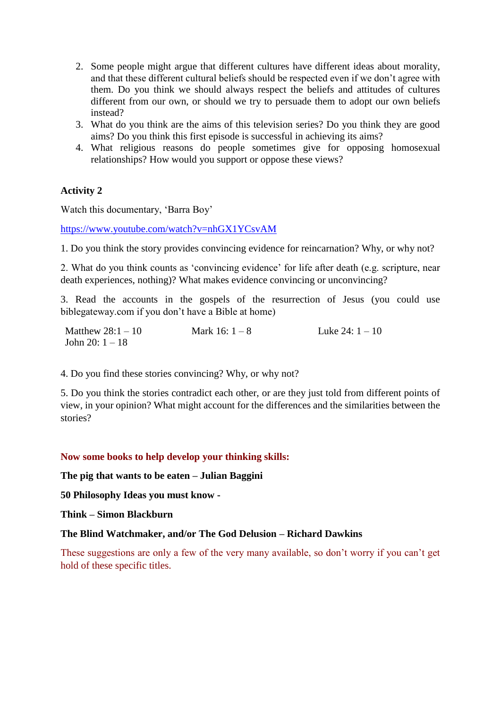- 2. Some people might argue that different cultures have different ideas about morality, and that these different cultural beliefs should be respected even if we don't agree with them. Do you think we should always respect the beliefs and attitudes of cultures different from our own, or should we try to persuade them to adopt our own beliefs instead?
- 3. What do you think are the aims of this television series? Do you think they are good aims? Do you think this first episode is successful in achieving its aims?
- 4. What religious reasons do people sometimes give for opposing homosexual relationships? How would you support or oppose these views?

#### **Activity 2**

Watch this documentary, 'Barra Boy'

<https://www.youtube.com/watch?v=nhGX1YCsvAM>

1. Do you think the story provides convincing evidence for reincarnation? Why, or why not?

2. What do you think counts as 'convincing evidence' for life after death (e.g. scripture, near death experiences, nothing)? What makes evidence convincing or unconvincing?

3. Read the accounts in the gospels of the resurrection of Jesus (you could use biblegateway.com if you don't have a Bible at home)

Matthew  $28:1 - 10$ John 20:  $1 - 18$ Mark  $16: 1 - 8$  Luke  $24: 1 - 10$ 

4. Do you find these stories convincing? Why, or why not?

5. Do you think the stories contradict each other, or are they just told from different points of view, in your opinion? What might account for the differences and the similarities between the stories?

#### **Now some books to help develop your thinking skills:**

**The pig that wants to be eaten – Julian Baggini**

**50 Philosophy Ideas you must know -**

**Think – Simon Blackburn**

#### **The Blind Watchmaker, and/or The God Delusion – Richard Dawkins**

These suggestions are only a few of the very many available, so don't worry if you can't get hold of these specific titles.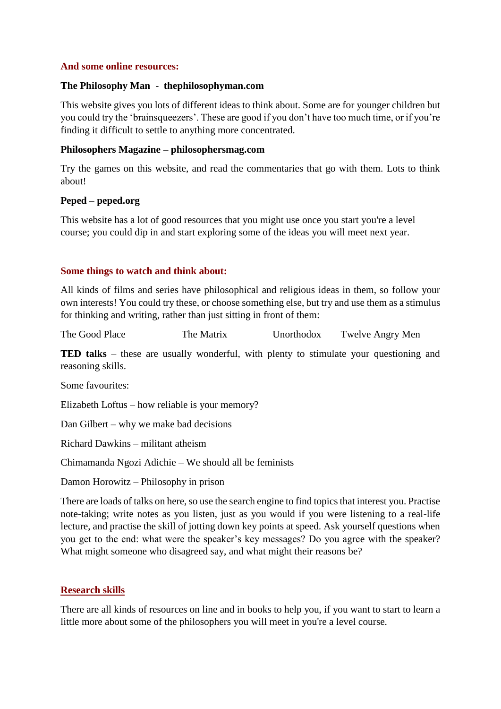#### **And some online resources:**

#### **The Philosophy Man** - **thephilosophyman.com**

This website gives you lots of different ideas to think about. Some are for younger children but you could try the 'brainsqueezers'. These are good if you don't have too much time, or if you're finding it difficult to settle to anything more concentrated.

#### **Philosophers Magazine – philosophersmag.com**

Try the games on this website, and read the commentaries that go with them. Lots to think about!

#### **Peped – peped.org**

This website has a lot of good resources that you might use once you start you're a level course; you could dip in and start exploring some of the ideas you will meet next year.

#### **Some things to watch and think about:**

All kinds of films and series have philosophical and religious ideas in them, so follow your own interests! You could try these, or choose something else, but try and use them as a stimulus for thinking and writing, rather than just sitting in front of them:

The Good Place The Matrix Unorthodox Twelve Angry Men

**TED talks** – these are usually wonderful, with plenty to stimulate your questioning and reasoning skills.

Some favourites:

Elizabeth Loftus – how reliable is your memory?

Dan Gilbert – why we make bad decisions

Richard Dawkins – militant atheism

Chimamanda Ngozi Adichie – We should all be feminists

Damon Horowitz – Philosophy in prison

There are loads of talks on here, so use the search engine to find topics that interest you. Practise note-taking; write notes as you listen, just as you would if you were listening to a real-life lecture, and practise the skill of jotting down key points at speed. Ask yourself questions when you get to the end: what were the speaker's key messages? Do you agree with the speaker? What might someone who disagreed say, and what might their reasons be?

#### **Research skills**

There are all kinds of resources on line and in books to help you, if you want to start to learn a little more about some of the philosophers you will meet in you're a level course.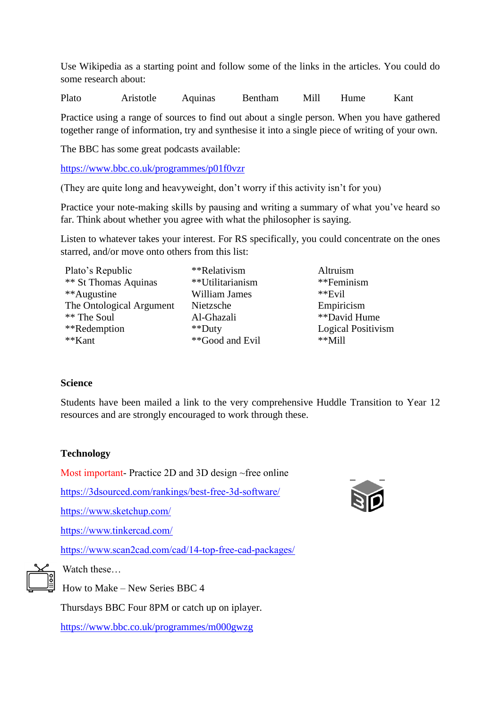Use Wikipedia as a starting point and follow some of the links in the articles. You could do some research about:

Plato Aristotle Aquinas Bentham Mill Hume Kant

Practice using a range of sources to find out about a single person. When you have gathered together range of information, try and synthesise it into a single piece of writing of your own.

The BBC has some great podcasts available:

<https://www.bbc.co.uk/programmes/p01f0vzr>

(They are quite long and heavyweight, don't worry if this activity isn't for you)

Practice your note-making skills by pausing and writing a summary of what you've heard so far. Think about whether you agree with what the philosopher is saying.

Listen to whatever takes your interest. For RS specifically, you could concentrate on the ones starred, and/or move onto others from this list:

- Plato's Republic \*\* St Thomas Aquinas \*\*Augustine The Ontological Argument \*\* The Soul \*\*Redemption \*\*Kant
- \*\*Relativism \*\*Utilitarianism William James Nietzsche Al-Ghazali \*\*Duty \*\*Good and Evil
- Altruism \*\*Feminism \*\*Evil Empiricism \*\*David Hume Logical Positivism  $*$  $Mill$

#### **Science**

Students have been mailed a link to the very comprehensive Huddle Transition to Year 12 resources and are strongly encouraged to work through these.

#### **Technology**

Most important- Practice 2D and 3D design ~free online

<https://3dsourced.com/rankings/best-free-3d-software/>

<https://www.sketchup.com/>

<https://www.tinkercad.com/>

<https://www.scan2cad.com/cad/14-top-free-cad-packages/>

Watch these…

How to Make – New Series BBC 4

Thursdays BBC Four 8PM or catch up on iplayer.

<https://www.bbc.co.uk/programmes/m000gwzg>

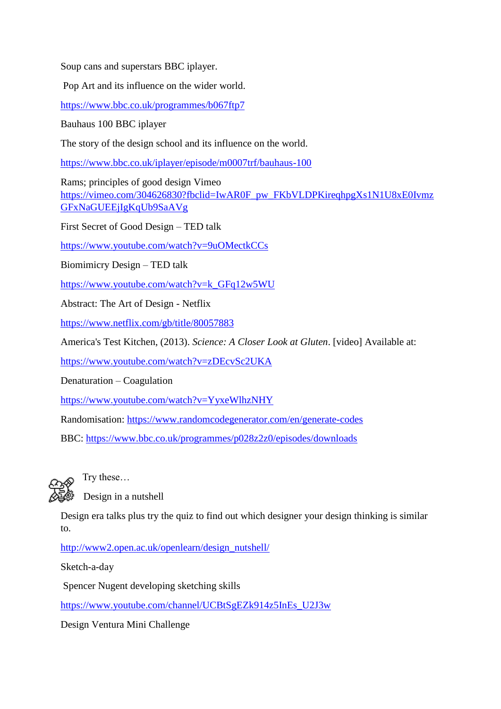Soup cans and superstars BBC iplayer.

Pop Art and its influence on the wider world.

<https://www.bbc.co.uk/programmes/b067ftp7>

Bauhaus 100 BBC iplayer

The story of the design school and its influence on the world.

<https://www.bbc.co.uk/iplayer/episode/m0007trf/bauhaus-100>

Rams; principles of good design Vimeo [https://vimeo.com/304626830?fbclid=IwAR0F\\_pw\\_FKbVLDPKireqhpgXs1N1U8xE0Ivmz](https://vimeo.com/304626830?fbclid=IwAR0F_pw_FKbVLDPKireqhpgXs1N1U8xE0IvmzGFxNaGUEEjIgKqUb9SaAVg) [GFxNaGUEEjIgKqUb9SaAVg](https://vimeo.com/304626830?fbclid=IwAR0F_pw_FKbVLDPKireqhpgXs1N1U8xE0IvmzGFxNaGUEEjIgKqUb9SaAVg)

First Secret of Good Design – TED talk

<https://www.youtube.com/watch?v=9uOMectkCCs>

Biomimicry Design – TED talk

[https://www.youtube.com/watch?v=k\\_GFq12w5WU](https://www.youtube.com/watch?v=k_GFq12w5WU)

Abstract: The Art of Design - Netflix

<https://www.netflix.com/gb/title/80057883>

America's Test Kitchen, (2013). *Science: A Closer Look at Gluten*. [video] Available at:

<https://www.youtube.com/watch?v=zDEcvSc2UKA>

Denaturation – Coagulation

<https://www.youtube.com/watch?v=YyxeWlhzNHY>

Randomisation:<https://www.randomcodegenerator.com/en/generate-codes>

BBC:<https://www.bbc.co.uk/programmes/p028z2z0/episodes/downloads>



Try these…

Design in a nutshell

Design era talks plus try the quiz to find out which designer your design thinking is similar to.

[http://www2.open.ac.uk/openlearn/design\\_nutshell/](http://www2.open.ac.uk/openlearn/design_nutshell/)

Sketch-a-day

Spencer Nugent developing sketching skills

[https://www.youtube.com/channel/UCBtSgEZk914z5InEs\\_U2J3w](https://www.youtube.com/channel/UCBtSgEZk914z5InEs_U2J3w)

Design Ventura Mini Challenge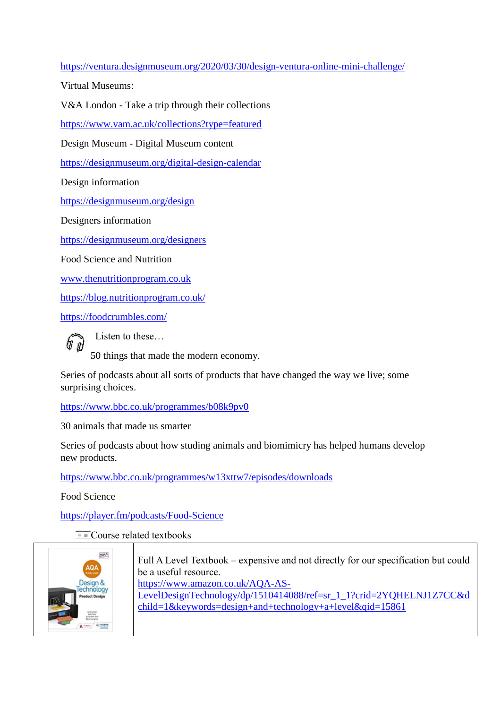<https://ventura.designmuseum.org/2020/03/30/design-ventura-online-mini-challenge/>

Virtual Museums:

V&A London - Take a trip through their collections

<https://www.vam.ac.uk/collections?type=featured>

Design Museum - Digital Museum content

<https://designmuseum.org/digital-design-calendar>

Design information

<https://designmuseum.org/design>

Designers information

<https://designmuseum.org/designers>

Food Science and Nutrition

[www.thenutritionprogram.co.uk](http://www.thenutritionprogram.co.uk/)

<https://blog.nutritionprogram.co.uk/>

<https://foodcrumbles.com/>



Listen to these…

50 things that made the modern economy.

Series of podcasts about all sorts of products that have changed the way we live; some surprising choices.

<https://www.bbc.co.uk/programmes/b08k9pv0>

30 animals that made us smarter

Series of podcasts about how studing animals and biomimicry has helped humans develop new products.

<https://www.bbc.co.uk/programmes/w13xttw7/episodes/downloads>

Food Science

<https://player.fm/podcasts/Food-Science>

 $\equiv$   $\equiv$  Course related textbooks



Full A Level Textbook – expensive and not directly for our specification but could be a useful resource. [https://www.amazon.co.uk/AQA-AS-](https://www.amazon.co.uk/AQA-AS-LevelDesignTechnology/dp/1510414088/ref=sr_1_1?crid=2YQHELNJ1Z7CC&dchild=1&keywords=design+and+technology+a+level&qid=15861)[LevelDesignTechnology/dp/1510414088/ref=sr\\_1\\_1?crid=2YQHELNJ1Z7CC&d](https://www.amazon.co.uk/AQA-AS-LevelDesignTechnology/dp/1510414088/ref=sr_1_1?crid=2YQHELNJ1Z7CC&dchild=1&keywords=design+and+technology+a+level&qid=15861) [child=1&keywords=design+and+technology+a+level&qid=15861](https://www.amazon.co.uk/AQA-AS-LevelDesignTechnology/dp/1510414088/ref=sr_1_1?crid=2YQHELNJ1Z7CC&dchild=1&keywords=design+and+technology+a+level&qid=15861)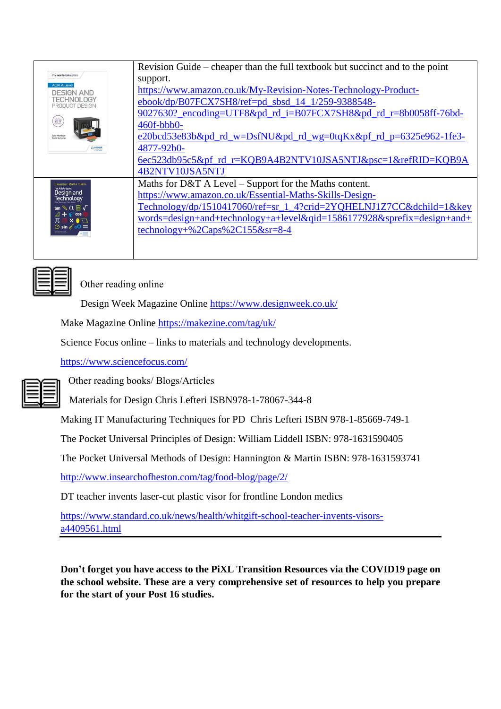|                                                                                                                                                                 | Revision Guide – cheaper than the full textbook but succinct and to the point |
|-----------------------------------------------------------------------------------------------------------------------------------------------------------------|-------------------------------------------------------------------------------|
| my revision notes                                                                                                                                               | support.                                                                      |
| <b>AQA A Level</b><br><b>DESIGN AND</b>                                                                                                                         | https://www.amazon.co.uk/My-Revision-Notes-Technology-Product-                |
| 'FCHNOLOGY<br>PRODUCT DESIGN                                                                                                                                    | ebook/dp/B07FCX7SH8/ref=pd_sbsd_14_1/259-9388548-                             |
|                                                                                                                                                                 | 9027630? encoding=UTF8&pd rd i=B07FCX7SH8&pd rd r=8b0058ff-76bd-              |
| 2017                                                                                                                                                            | $460f$ -bbb $0-$                                                              |
| <b>Julia Morrison</b><br>Dave Sumpne                                                                                                                            | e20bcd53e83b&pd_rd_w=DsfNU&pd_rd_wg=0tqKx&pf_rd_p=6325e962-1fe3-              |
| $47$ HODDER                                                                                                                                                     | 4877-92b0-                                                                    |
|                                                                                                                                                                 | 6ec523db95c5&pf_rd_r=KQB9A4B2NTV10JSA5NTJ&psc=1&refRID=KQB9A                  |
|                                                                                                                                                                 | 4B2NTV10JSA5NTJ                                                               |
| <b>Essential Maths Skills</b>                                                                                                                                   | Maths for D&T A Level – Support for the Maths content.                        |
| ter As/A-level<br>Design and<br><b>Technology</b>                                                                                                               | https://www.amazon.co.uk/Essential-Maths-Skills-Design-                       |
| tan $\mathcal{A} \times \mathcal{C} \equiv \sqrt{2}$<br>$4 + \epsilon$ cos<br>$\pi$ $\mathbb{R} \times \bullet$ $\Box$<br>$\circ$ sin $\mathscr{L}$ oO $\equiv$ | Technology/dp/1510417060/ref=sr_1_4?crid=2YQHELNJ1Z7CC&dchild=1&key           |
|                                                                                                                                                                 | words=design+and+technology+a+level&qid=1586177928&sprefix=design+and+        |
|                                                                                                                                                                 | technology+%2Caps%2C155&sr=8-4                                                |
|                                                                                                                                                                 |                                                                               |
|                                                                                                                                                                 |                                                                               |



Other reading online

Design Week Magazine Online <https://www.designweek.co.uk/>

Make Magazine Online <https://makezine.com/tag/uk/>

Science Focus online – links to materials and technology developments.

<https://www.sciencefocus.com/>

Other reading books/ Blogs/Articles

Materials for Design Chris Lefteri ISBN978-1-78067-344-8

Making IT Manufacturing Techniques for PD Chris Lefteri ISBN 978-1-85669-749-1

The Pocket Universal Principles of Design: William Liddell ISBN: 978-1631590405

The Pocket Universal Methods of Design: Hannington & Martin ISBN: 978-1631593741

<http://www.insearchofheston.com/tag/food-blog/page/2/>

DT teacher invents laser-cut plastic visor for frontline London medics

[https://www.standard.co.uk/news/health/whitgift-school-teacher-invents-visors](https://www.standard.co.uk/news/health/whitgift-school-teacher-invents-visors-a4409561.html)[a4409561.html](https://www.standard.co.uk/news/health/whitgift-school-teacher-invents-visors-a4409561.html)

**Don't forget you have access to the PiXL Transition Resources via the COVID19 page on the school website. These are a very comprehensive set of resources to help you prepare for the start of your Post 16 studies.**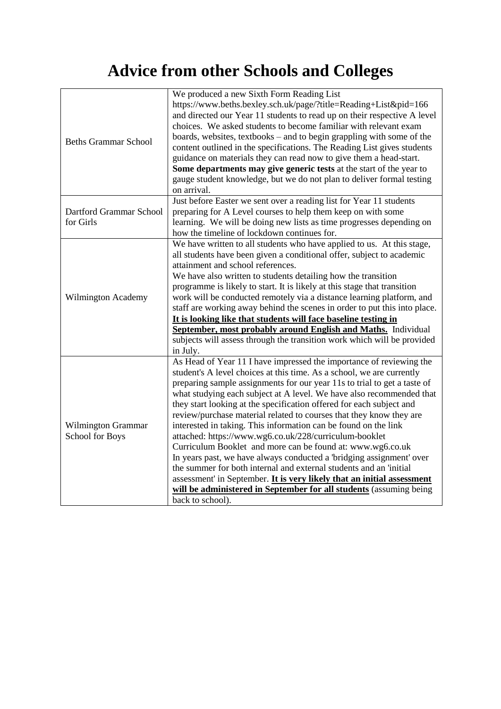## **Advice from other Schools and Colleges**

| <b>Beths Grammar School</b>           | We produced a new Sixth Form Reading List<br>https://www.beths.bexley.sch.uk/page/?title=Reading+List&pid=166<br>and directed our Year 11 students to read up on their respective A level<br>choices. We asked students to become familiar with relevant exam<br>boards, websites, textbooks – and to begin grappling with some of the<br>content outlined in the specifications. The Reading List gives students<br>guidance on materials they can read now to give them a head-start.<br>Some departments may give generic tests at the start of the year to<br>gauge student knowledge, but we do not plan to deliver formal testing<br>on arrival.                                                                                                                                                                                                                                                                                                       |
|---------------------------------------|--------------------------------------------------------------------------------------------------------------------------------------------------------------------------------------------------------------------------------------------------------------------------------------------------------------------------------------------------------------------------------------------------------------------------------------------------------------------------------------------------------------------------------------------------------------------------------------------------------------------------------------------------------------------------------------------------------------------------------------------------------------------------------------------------------------------------------------------------------------------------------------------------------------------------------------------------------------|
| Dartford Grammar School<br>for Girls  | Just before Easter we sent over a reading list for Year 11 students<br>preparing for A Level courses to help them keep on with some<br>learning. We will be doing new lists as time progresses depending on<br>how the timeline of lockdown continues for.                                                                                                                                                                                                                                                                                                                                                                                                                                                                                                                                                                                                                                                                                                   |
| Wilmington Academy                    | We have written to all students who have applied to us. At this stage,<br>all students have been given a conditional offer, subject to academic<br>attainment and school references.<br>We have also written to students detailing how the transition<br>programme is likely to start. It is likely at this stage that transition<br>work will be conducted remotely via a distance learning platform, and<br>staff are working away behind the scenes in order to put this into place.<br>It is looking like that students will face baseline testing in<br>September, most probably around English and Maths. Individual<br>subjects will assess through the transition work which will be provided<br>in July.                                                                                                                                                                                                                                            |
| Wilmington Grammar<br>School for Boys | As Head of Year 11 I have impressed the importance of reviewing the<br>student's A level choices at this time. As a school, we are currently<br>preparing sample assignments for our year 11s to trial to get a taste of<br>what studying each subject at A level. We have also recommended that<br>they start looking at the specification offered for each subject and<br>review/purchase material related to courses that they know they are<br>interested in taking. This information can be found on the link<br>attached: https://www.wg6.co.uk/228/curriculum-booklet<br>Curriculum Booklet and more can be found at: www.wg6.co.uk<br>In years past, we have always conducted a 'bridging assignment' over<br>the summer for both internal and external students and an 'initial<br>assessment' in September. It is very likely that an initial assessment<br>will be administered in September for all students (assuming being<br>back to school). |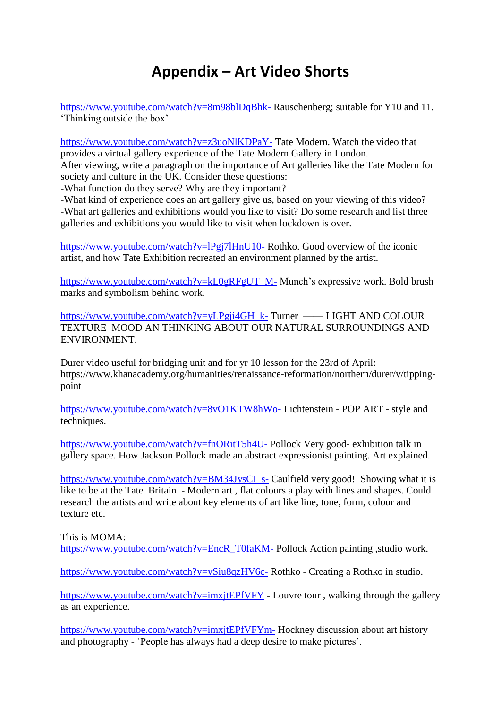### **Appendix – Art Video Shorts**

<https://www.youtube.com/watch?v=8m98blDqBhk-> Rauschenberg; suitable for Y10 and 11. 'Thinking outside the box'

<https://www.youtube.com/watch?v=z3uoNlKDPaY-> Tate Modern. Watch the video that provides a virtual gallery experience of the Tate Modern Gallery in London. After viewing, write a paragraph on the importance of Art galleries like the Tate Modern for society and culture in the UK. Consider these questions:

-What function do they serve? Why are they important?

-What kind of experience does an art gallery give us, based on your viewing of this video? -What art galleries and exhibitions would you like to visit? Do some research and list three galleries and exhibitions you would like to visit when lockdown is over.

<https://www.youtube.com/watch?v=lPgj7lHnU10-> Rothko. Good overview of the iconic artist, and how Tate Exhibition recreated an environment planned by the artist.

[https://www.youtube.com/watch?v=kL0gRFgUT\\_M-](https://www.youtube.com/watch?v=kL0gRFgUT_M-) Munch's expressive work. Bold brush marks and symbolism behind work.

[https://www.youtube.com/watch?v=yLPgji4GH\\_k-](https://www.youtube.com/watch?v=yLPgji4GH_k-) Turner —— LIGHT AND COLOUR TEXTURE MOOD AN THINKING ABOUT OUR NATURAL SURROUNDINGS AND ENVIRONMENT.

Durer video useful for bridging unit and for yr 10 lesson for the 23rd of April: https://www.khanacademy.org/humanities/renaissance-reformation/northern/durer/v/tippingpoint

<https://www.youtube.com/watch?v=8vO1KTW8hWo-> Lichtenstein - POP ART - style and techniques.

<https://www.youtube.com/watch?v=fnORitT5h4U-> Pollock Very good- exhibition talk in gallery space. How Jackson Pollock made an abstract expressionist painting. Art explained.

[https://www.youtube.com/watch?v=BM34JysCI\\_s-](https://www.youtube.com/watch?v=BM34JysCI_s-) Caulfield very good! Showing what it is like to be at the Tate Britain - Modern art , flat colours a play with lines and shapes. Could research the artists and write about key elements of art like line, tone, form, colour and texture etc.

This is MOMA:

[https://www.youtube.com/watch?v=EncR\\_T0faKM-](https://www.youtube.com/watch?v=EncR_T0faKM-) Pollock Action painting ,studio work.

<https://www.youtube.com/watch?v=vSiu8qzHV6c-> Rothko - Creating a Rothko in studio.

<https://www.youtube.com/watch?v=imxjtEPfVFY> - Louvre tour, walking through the gallery as an experience.

<https://www.youtube.com/watch?v=imxjtEPfVFYm-> Hockney discussion about art history and photography - 'People has always had a deep desire to make pictures'.